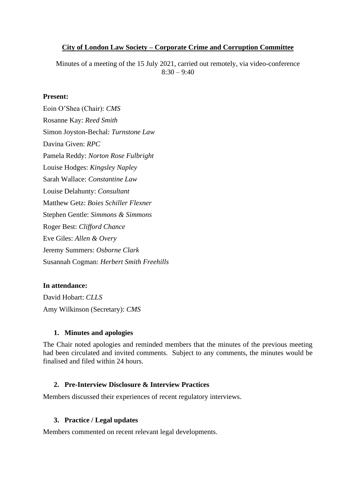### **City of London Law Society – Corporate Crime and Corruption Committee**

Minutes of a meeting of the 15 July 2021, carried out remotely, via video-conference  $8:30 - 9:40$ 

### **Present:**

Eoin O'Shea (Chair): *CMS* Rosanne Kay: *Reed Smith* Simon Joyston-Bechal: *Turnstone Law* Davina Given: *RPC* Pamela Reddy: *Norton Rose Fulbright* Louise Hodges: *Kingsley Napley* Sarah Wallace: *Constantine Law* Louise Delahunty: *Consultant* Matthew Getz: *Boies Schiller Flexner* Stephen Gentle: *Simmons & Simmons* Roger Best: *Clifford Chance* Eve Giles: *Allen & Overy* Jeremy Summers: *Osborne Clark* Susannah Cogman: *Herbert Smith Freehills*

### **In attendance:**

David Hobart: *CLLS* Amy Wilkinson (Secretary): *CMS*

#### **1. Minutes and apologies**

The Chair noted apologies and reminded members that the minutes of the previous meeting had been circulated and invited comments. Subject to any comments, the minutes would be finalised and filed within 24 hours.

#### **2. Pre-Interview Disclosure & Interview Practices**

Members discussed their experiences of recent regulatory interviews.

#### **3. Practice / Legal updates**

Members commented on recent relevant legal developments.